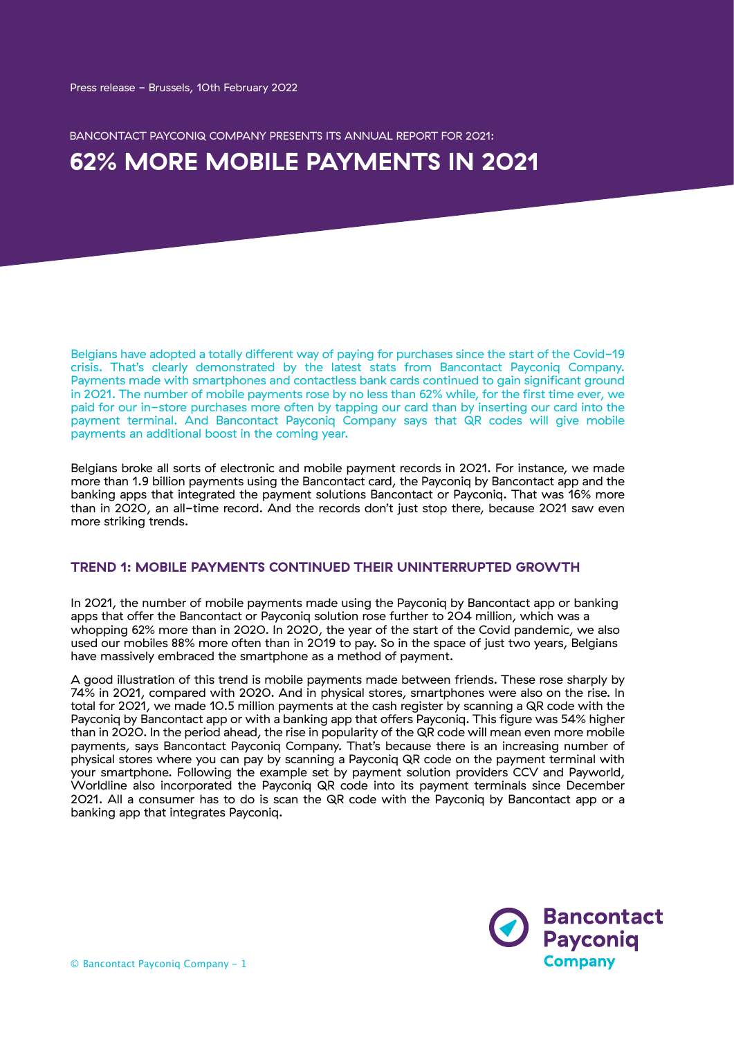BANCONTACT PAYCONIQ COMPANY PRESENTS ITS ANNUAL REPORT FOR 2021:

# **62% MORE MOBILE PAYMENTS IN 2021**

Belgians have adopted a totally different way of paying for purchases since the start of the Covid-19 crisis. That's clearly demonstrated by the latest stats from Bancontact Payconiq Company. Payments made with smartphones and contactless bank cards continued to gain significant ground in 2021. The number of mobile payments rose by no less than 62% while, for the first time ever, we paid for our in-store purchases more often by tapping our card than by inserting our card into the payment terminal. And Bancontact Payconiq Company says that QR codes will give mobile payments an additional boost in the coming year.

Belgians broke all sorts of electronic and mobile payment records in 2021. For instance, we made more than 1.9 billion payments using the Bancontact card, the Payconiq by Bancontact app and the banking apps that integrated the payment solutions Bancontact or Payconiq. That was 16% more than in 2020, an all-time record. And the records don't just stop there, because 2021 saw even more striking trends.

#### **TREND 1: MOBILE PAYMENTS CONTINUED THEIR UNINTERRUPTED GROWTH**

In 2021, the number of mobile payments made using the Payconiq by Bancontact app or banking apps that offer the Bancontact or Payconiq solution rose further to 204 million, which was a whopping 62% more than in 2020. In 2020, the year of the start of the Covid pandemic, we also used our mobiles 88% more often than in 2019 to pay. So in the space of just two years, Belgians have massively embraced the smartphone as a method of payment.

A good illustration of this trend is mobile payments made between friends. These rose sharply by 74% in 2021, compared with 2020. And in physical stores, smartphones were also on the rise. In total for 2021, we made 10.5 million payments at the cash register by scanning a QR code with the Payconiq by Bancontact app or with a banking app that offers Payconiq. This figure was 54% higher than in 2020. In the period ahead, the rise in popularity of the QR code will mean even more mobile payments, says Bancontact Payconiq Company. That's because there is an increasing number of physical stores where you can pay by scanning a Payconiq QR code on the payment terminal with your smartphone. Following the example set by payment solution providers CCV and Payworld, Worldline also incorporated the Payconiq QR code into its payment terminals since December 2021. All a consumer has to do is scan the QR code with the Payconiq by Bancontact app or a banking app that integrates Payconiq.

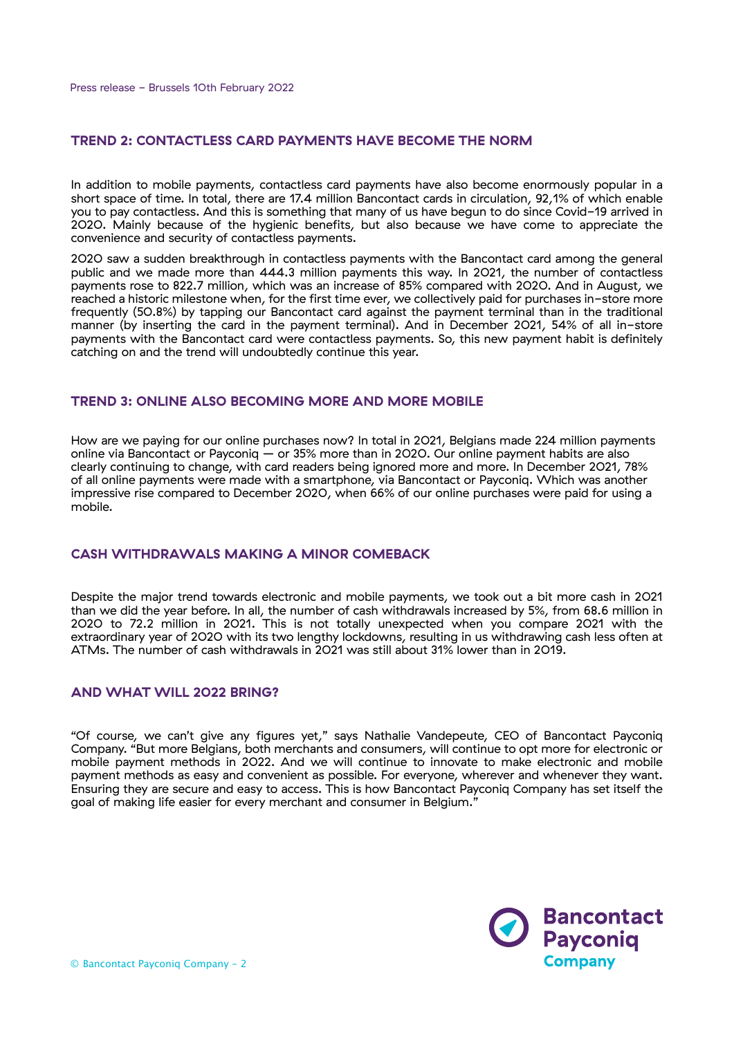#### **TREND 2: CONTACTLESS CARD PAYMENTS HAVE BECOME THE NORM**

In addition to mobile payments, contactless card payments have also become enormously popular in a short space of time. In total, there are 17.4 million Bancontact cards in circulation, 92,1% of which enable you to pay contactless. And this is something that many of us have begun to do since Covid-19 arrived in 2020. Mainly because of the hygienic benefits, but also because we have come to appreciate the convenience and security of contactless payments.

2020 saw a sudden breakthrough in contactless payments with the Bancontact card among the general public and we made more than 444.3 million payments this way. In 2021, the number of contactless payments rose to 822.7 million, which was an increase of 85% compared with 2020. And in August, we reached a historic milestone when, for the first time ever, we collectively paid for purchases in-store more frequently (50.8%) by tapping our Bancontact card against the payment terminal than in the traditional manner (by inserting the card in the payment terminal). And in December 2021, 54% of all in-store payments with the Bancontact card were contactless payments. So, this new payment habit is definitely catching on and the trend will undoubtedly continue this year.

### **TREND 3: ONLINE ALSO BECOMING MORE AND MORE MOBILE**

How are we paying for our online purchases now? In total in 2021, Belgians made 224 million payments online via Bancontact or Payconiq – or 35% more than in 2020. Our online payment habits are also clearly continuing to change, with card readers being ignored more and more. In December 2021, 78% of all online payments were made with a smartphone, via Bancontact or Payconiq. Which was another impressive rise compared to December 2020, when 66% of our online purchases were paid for using a mobile.

## **CASH WITHDRAWALS MAKING A MINOR COMEBACK**

Despite the major trend towards electronic and mobile payments, we took out a bit more cash in 2021 than we did the year before. In all, the number of cash withdrawals increased by 5%, from 68.6 million in 2020 to 72.2 million in 2021. This is not totally unexpected when you compare 2021 with the extraordinary year of 2020 with its two lengthy lockdowns, resulting in us withdrawing cash less often at ATMs. The number of cash withdrawals in 2021 was still about 31% lower than in 2019.

## **AND WHAT WILL 2022 BRING?**

"Of course, we can't give any figures yet," says Nathalie Vandepeute, CEO of Bancontact Payconiq Company. "But more Belgians, both merchants and consumers, will continue to opt more for electronic or mobile payment methods in 2022. And we will continue to innovate to make electronic and mobile payment methods as easy and convenient as possible. For everyone, wherever and whenever they want. Ensuring they are secure and easy to access. This is how Bancontact Payconiq Company has set itself the goal of making life easier for every merchant and consumer in Belgium.<sup>3</sup>